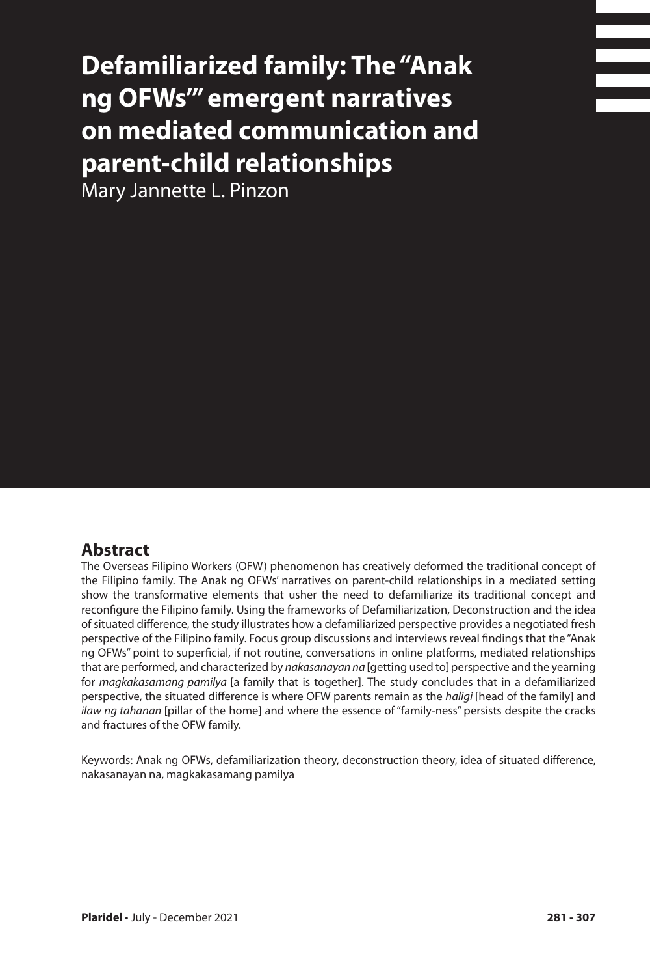# **Defamiliarized family: The "Anak ng OFWs'" emergent narratives on mediated communication and parent-child relationships**

Mary Jannette L. Pinzon

## **Abstract**

The Overseas Filipino Workers (OFW) phenomenon has creatively deformed the traditional concept of the Filipino family. The Anak ng OFWs' narratives on parent-child relationships in a mediated setting show the transformative elements that usher the need to defamiliarize its traditional concept and reconfigure the Filipino family. Using the frameworks of Defamiliarization, Deconstruction and the idea of situated difference, the study illustrates how a defamiliarized perspective provides a negotiated fresh perspective of the Filipino family. Focus group discussions and interviews reveal findings that the "Anak ng OFWs" point to superficial, if not routine, conversations in online platforms, mediated relationships that are performed, and characterized by *nakasanayan na* [getting used to] perspective and the yearning for *magkakasamang pamilya* [a family that is together]. The study concludes that in a defamiliarized perspective, the situated difference is where OFW parents remain as the *haligi* [head of the family] and *ilaw ng tahanan* [pillar of the home] and where the essence of "family-ness" persists despite the cracks and fractures of the OFW family.

Keywords: Anak ng OFWs, defamiliarization theory, deconstruction theory, idea of situated difference, nakasanayan na, magkakasamang pamilya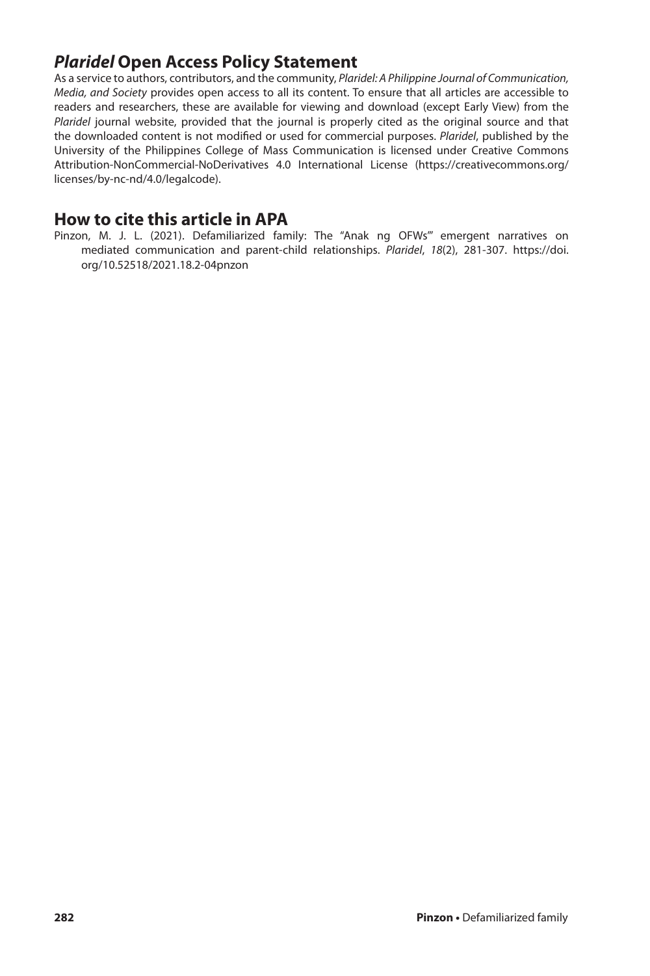# *Plaridel* **Open Access Policy Statement**

As a service to authors, contributors, and the community, *Plaridel: A Philippine Journal of Communication, Media, and Society* provides open access to all its content. To ensure that all articles are accessible to readers and researchers, these are available for viewing and download (except Early View) from the *Plaridel* journal website, provided that the journal is properly cited as the original source and that the downloaded content is not modified or used for commercial purposes. *Plaridel*, published by the University of the Philippines College of Mass Communication is licensed under Creative Commons Attribution-NonCommercial-NoDerivatives 4.0 International License (https://creativecommons.org/ licenses/by-nc-nd/4.0/legalcode).

#### **How to cite this article in APA**

Pinzon, M. J. L. (2021). Defamiliarized family: The "Anak ng OFWs'" emergent narratives on mediated communication and parent-child relationships. *Plaridel*, *18*(2), 281-307. https://doi. org/10.52518/2021.18.2-04pnzon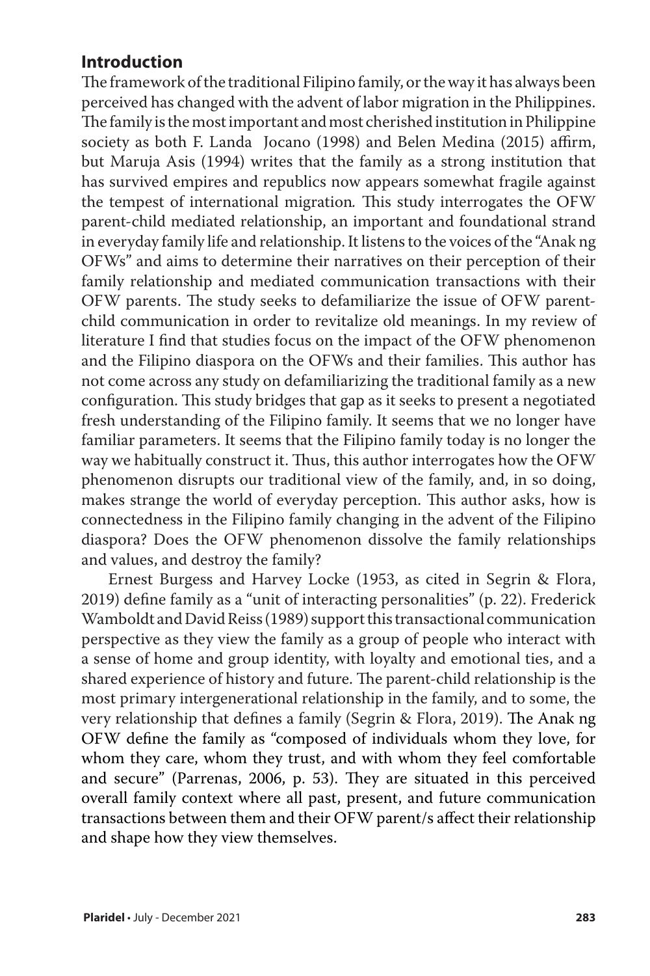## **Introduction**

The framework of the traditional Filipino family, or the way it has always been perceived has changed with the advent of labor migration in the Philippines. The family is the most important and most cherished institution in Philippine society as both F. Landa Jocano (1998) and Belen Medina (2015) affirm, but Maruja Asis (1994) writes that the family as a strong institution that has survived empires and republics now appears somewhat fragile against the tempest of international migration*.* This study interrogates the OFW parent-child mediated relationship, an important and foundational strand in everyday family life and relationship. It listens to the voices of the "Anak ng OFWs" and aims to determine their narratives on their perception of their family relationship and mediated communication transactions with their OFW parents. The study seeks to defamiliarize the issue of OFW parentchild communication in order to revitalize old meanings. In my review of literature I find that studies focus on the impact of the OFW phenomenon and the Filipino diaspora on the OFWs and their families. This author has not come across any study on defamiliarizing the traditional family as a new configuration. This study bridges that gap as it seeks to present a negotiated fresh understanding of the Filipino family. It seems that we no longer have familiar parameters. It seems that the Filipino family today is no longer the way we habitually construct it. Thus, this author interrogates how the OFW phenomenon disrupts our traditional view of the family, and, in so doing, makes strange the world of everyday perception. This author asks, how is connectedness in the Filipino family changing in the advent of the Filipino diaspora? Does the OFW phenomenon dissolve the family relationships and values, and destroy the family?

Ernest Burgess and Harvey Locke (1953, as cited in Segrin & Flora, 2019) define family as a "unit of interacting personalities" (p. 22). Frederick Wamboldt and David Reiss (1989) support this transactional communication perspective as they view the family as a group of people who interact with a sense of home and group identity, with loyalty and emotional ties, and a shared experience of history and future. The parent-child relationship is the most primary intergenerational relationship in the family, and to some, the very relationship that defines a family (Segrin & Flora, 2019). The Anak ng OFW define the family as "composed of individuals whom they love, for whom they care, whom they trust, and with whom they feel comfortable and secure" (Parrenas, 2006, p. 53). They are situated in this perceived overall family context where all past, present, and future communication transactions between them and their OFW parent/s affect their relationship and shape how they view themselves.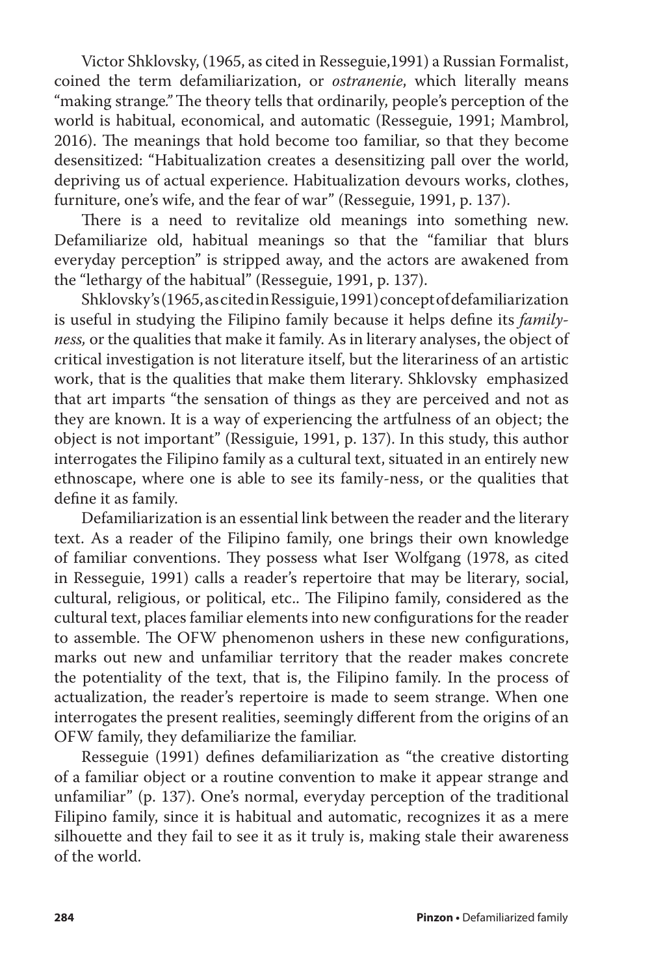Victor Shklovsky, (1965, as cited in Resseguie,1991) a Russian Formalist, coined the term defamiliarization, or *ostranenie*, which literally means "making strange*."* The theory tells that ordinarily, people's perception of the world is habitual, economical, and automatic (Resseguie, 1991; Mambrol, 2016). The meanings that hold become too familiar, so that they become desensitized: "Habitualization creates a desensitizing pall over the world, depriving us of actual experience. Habitualization devours works, clothes, furniture, one's wife, and the fear of war" (Resseguie, 1991, p. 137).

There is a need to revitalize old meanings into something new. Defamiliarize old, habitual meanings so that the "familiar that blurs everyday perception" is stripped away, and the actors are awakened from the "lethargy of the habitual" (Resseguie, 1991, p. 137).

Shklovsky's (1965, as cited in Ressiguie, 1991) concept of defamiliarization is useful in studying the Filipino family because it helps define its *familyness,* or the qualities that make it family. As in literary analyses, the object of critical investigation is not literature itself, but the literariness of an artistic work, that is the qualities that make them literary. Shklovsky emphasized that art imparts "the sensation of things as they are perceived and not as they are known. It is a way of experiencing the artfulness of an object; the object is not important" (Ressiguie, 1991, p. 137). In this study, this author interrogates the Filipino family as a cultural text, situated in an entirely new ethnoscape, where one is able to see its family-ness, or the qualities that define it as family.

Defamiliarization is an essential link between the reader and the literary text. As a reader of the Filipino family, one brings their own knowledge of familiar conventions. They possess what Iser Wolfgang (1978, as cited in Resseguie, 1991) calls a reader's repertoire that may be literary, social, cultural, religious, or political, etc.. The Filipino family, considered as the cultural text, places familiar elements into new configurations for the reader to assemble. The OFW phenomenon ushers in these new configurations, marks out new and unfamiliar territory that the reader makes concrete the potentiality of the text, that is, the Filipino family. In the process of actualization, the reader's repertoire is made to seem strange. When one interrogates the present realities, seemingly different from the origins of an OFW family, they defamiliarize the familiar.

Resseguie (1991) defines defamiliarization as "the creative distorting of a familiar object or a routine convention to make it appear strange and unfamiliar" (p. 137). One's normal, everyday perception of the traditional Filipino family, since it is habitual and automatic, recognizes it as a mere silhouette and they fail to see it as it truly is, making stale their awareness of the world.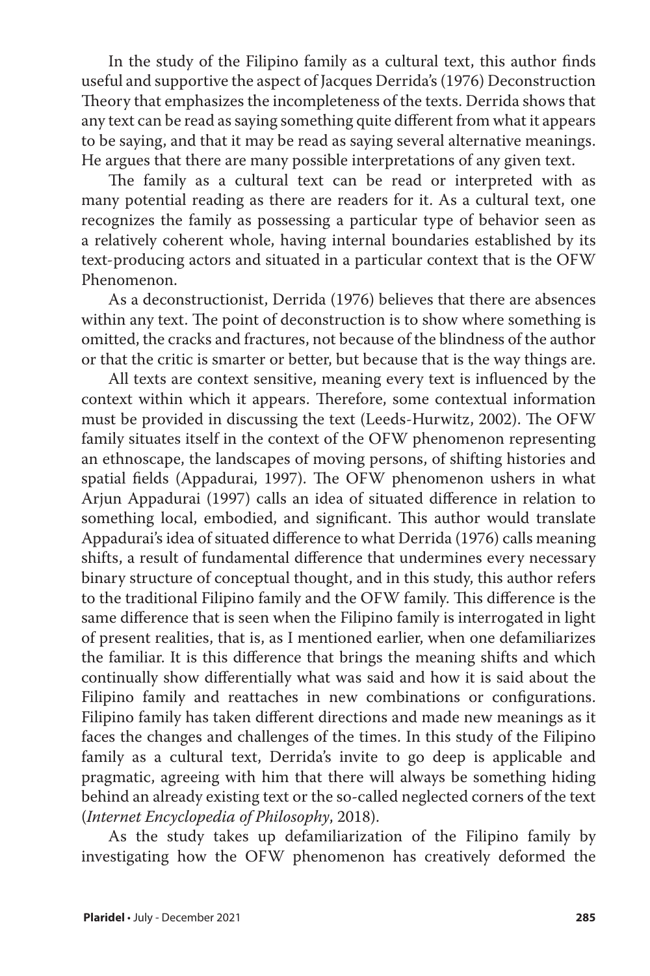In the study of the Filipino family as a cultural text, this author finds useful and supportive the aspect of Jacques Derrida's (1976) Deconstruction Theory that emphasizes the incompleteness of the texts. Derrida shows that any text can be read as saying something quite different from what it appears to be saying, and that it may be read as saying several alternative meanings. He argues that there are many possible interpretations of any given text.

The family as a cultural text can be read or interpreted with as many potential reading as there are readers for it. As a cultural text, one recognizes the family as possessing a particular type of behavior seen as a relatively coherent whole, having internal boundaries established by its text-producing actors and situated in a particular context that is the OFW Phenomenon.

As a deconstructionist, Derrida (1976) believes that there are absences within any text. The point of deconstruction is to show where something is omitted, the cracks and fractures, not because of the blindness of the author or that the critic is smarter or better, but because that is the way things are.

All texts are context sensitive, meaning every text is influenced by the context within which it appears. Therefore, some contextual information must be provided in discussing the text (Leeds-Hurwitz, 2002). The OFW family situates itself in the context of the OFW phenomenon representing an ethnoscape, the landscapes of moving persons, of shifting histories and spatial fields (Appadurai, 1997). The OFW phenomenon ushers in what Arjun Appadurai (1997) calls an idea of situated difference in relation to something local, embodied, and significant. This author would translate Appadurai's idea of situated difference to what Derrida (1976) calls meaning shifts, a result of fundamental difference that undermines every necessary binary structure of conceptual thought, and in this study, this author refers to the traditional Filipino family and the OFW family. This difference is the same difference that is seen when the Filipino family is interrogated in light of present realities, that is, as I mentioned earlier, when one defamiliarizes the familiar. It is this difference that brings the meaning shifts and which continually show differentially what was said and how it is said about the Filipino family and reattaches in new combinations or configurations. Filipino family has taken different directions and made new meanings as it faces the changes and challenges of the times. In this study of the Filipino family as a cultural text, Derrida's invite to go deep is applicable and pragmatic, agreeing with him that there will always be something hiding behind an already existing text or the so-called neglected corners of the text (*Internet Encyclopedia of Philosophy*, 2018).

As the study takes up defamiliarization of the Filipino family by investigating how the OFW phenomenon has creatively deformed the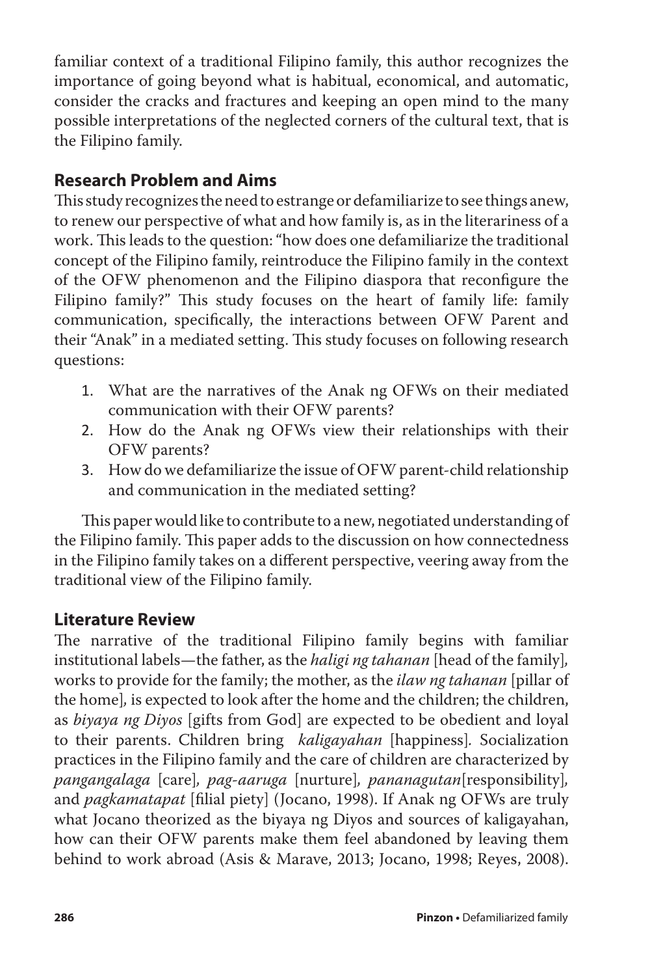familiar context of a traditional Filipino family, this author recognizes the importance of going beyond what is habitual, economical, and automatic, consider the cracks and fractures and keeping an open mind to the many possible interpretations of the neglected corners of the cultural text, that is the Filipino family.

# **Research Problem and Aims**

This study recognizes the need to estrange or defamiliarize to see things anew, to renew our perspective of what and how family is, as in the literariness of a work. This leads to the question: "how does one defamiliarize the traditional concept of the Filipino family, reintroduce the Filipino family in the context of the OFW phenomenon and the Filipino diaspora that reconfigure the Filipino family?" This study focuses on the heart of family life: family communication, specifically, the interactions between OFW Parent and their "Anak" in a mediated setting. This study focuses on following research questions:

- 1. What are the narratives of the Anak ng OFWs on their mediated communication with their OFW parents?
- 2. How do the Anak ng OFWs view their relationships with their OFW parents?
- 3. How do we defamiliarize the issue of OFW parent-child relationship and communication in the mediated setting?

This paper would like to contribute to a new, negotiated understanding of the Filipino family. This paper adds to the discussion on how connectedness in the Filipino family takes on a different perspective, veering away from the traditional view of the Filipino family.

## **Literature Review**

The narrative of the traditional Filipino family begins with familiar institutional labels—the father, as the *haligi ng tahanan* [head of the family]*,* works to provide for the family; the mother, as the *ilaw ng tahanan* [pillar of the home]*,* is expected to look after the home and the children; the children, as *biyaya ng Diyos* [gifts from God] are expected to be obedient and loyal to their parents. Children bring *kaligayahan* [happiness]*.* Socialization practices in the Filipino family and the care of children are characterized by *pangangalaga* [care]*, pag-aaruga* [nurture]*, pananagutan*[responsibility]*,* and *pagkamatapat* [filial piety] (Jocano, 1998). If Anak ng OFWs are truly what Jocano theorized as the biyaya ng Diyos and sources of kaligayahan, how can their OFW parents make them feel abandoned by leaving them behind to work abroad (Asis & Marave, 2013; Jocano, 1998; Reyes, 2008).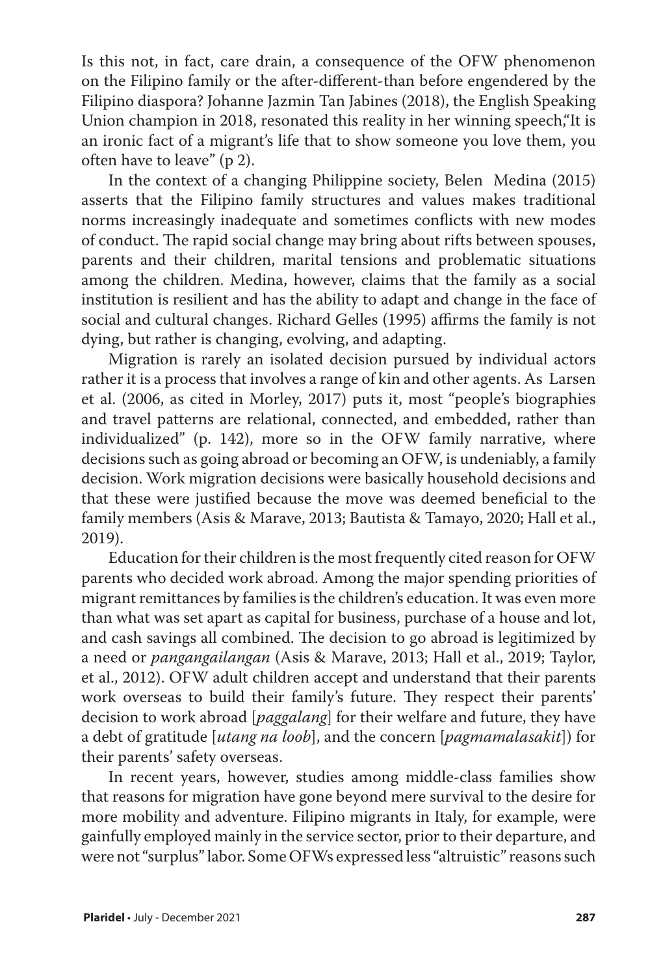Is this not, in fact, care drain, a consequence of the OFW phenomenon on the Filipino family or the after-different-than before engendered by the Filipino diaspora? Johanne Jazmin Tan Jabines (2018), the English Speaking Union champion in 2018, resonated this reality in her winning speech,"It is an ironic fact of a migrant's life that to show someone you love them, you often have to leave" (p 2).

In the context of a changing Philippine society, Belen Medina (2015) asserts that the Filipino family structures and values makes traditional norms increasingly inadequate and sometimes conflicts with new modes of conduct. The rapid social change may bring about rifts between spouses, parents and their children, marital tensions and problematic situations among the children. Medina, however, claims that the family as a social institution is resilient and has the ability to adapt and change in the face of social and cultural changes. Richard Gelles (1995) affirms the family is not dying, but rather is changing, evolving, and adapting.

Migration is rarely an isolated decision pursued by individual actors rather it is a process that involves a range of kin and other agents. As Larsen et al. (2006, as cited in Morley, 2017) puts it, most "people's biographies and travel patterns are relational, connected, and embedded, rather than individualized" (p. 142), more so in the OFW family narrative, where decisions such as going abroad or becoming an OFW, is undeniably, a family decision. Work migration decisions were basically household decisions and that these were justified because the move was deemed beneficial to the family members (Asis & Marave, 2013; Bautista & Tamayo, 2020; Hall et al., 2019).

Education for their children is the most frequently cited reason for OFW parents who decided work abroad. Among the major spending priorities of migrant remittances by families is the children's education. It was even more than what was set apart as capital for business, purchase of a house and lot, and cash savings all combined. The decision to go abroad is legitimized by a need or *pangangailangan* (Asis & Marave, 2013; Hall et al., 2019; Taylor, et al., 2012). OFW adult children accept and understand that their parents work overseas to build their family's future. They respect their parents' decision to work abroad [*paggalang*] for their welfare and future, they have a debt of gratitude [*utang na loob*], and the concern [*pagmamalasakit*]) for their parents' safety overseas.

In recent years, however, studies among middle-class families show that reasons for migration have gone beyond mere survival to the desire for more mobility and adventure. Filipino migrants in Italy, for example, were gainfully employed mainly in the service sector, prior to their departure, and were not "surplus" labor. Some OFWs expressed less "altruistic" reasons such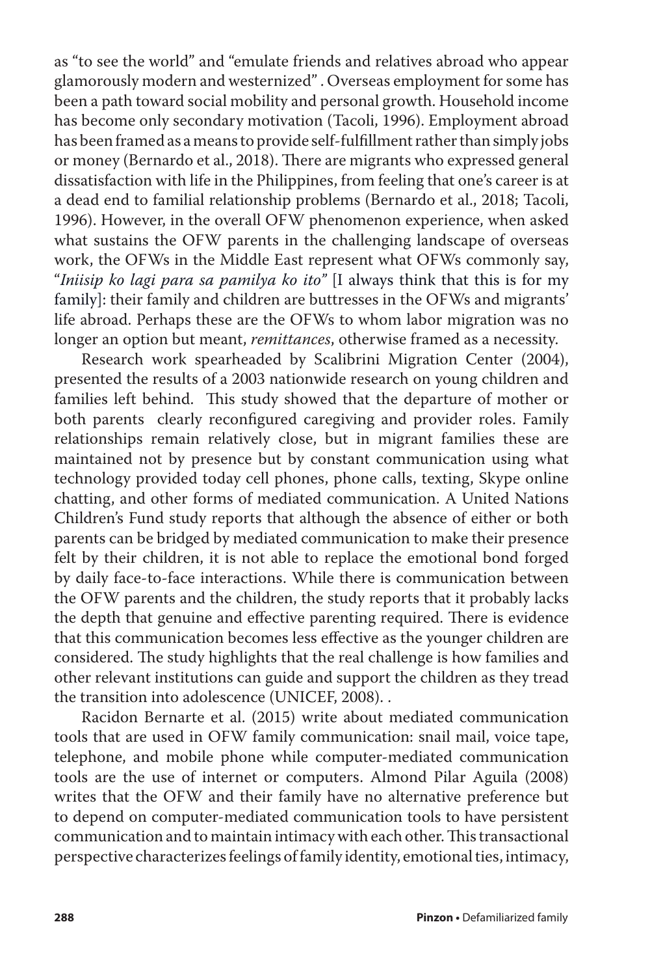as "to see the world" and "emulate friends and relatives abroad who appear glamorously modern and westernized" . Overseas employment for some has been a path toward social mobility and personal growth. Household income has become only secondary motivation (Tacoli, 1996). Employment abroad has been framed as a means to provide self-fulfillment rather than simply jobs or money (Bernardo et al., 2018). There are migrants who expressed general dissatisfaction with life in the Philippines, from feeling that one's career is at a dead end to familial relationship problems (Bernardo et al., 2018; Tacoli, 1996). However, in the overall OFW phenomenon experience, when asked what sustains the OFW parents in the challenging landscape of overseas work, the OFWs in the Middle East represent what OFWs commonly say, "*Iniisip ko lagi para sa pamilya ko ito"* [I always think that this is for my family]: their family and children are buttresses in the OFWs and migrants' life abroad. Perhaps these are the OFWs to whom labor migration was no longer an option but meant, *remittances*, otherwise framed as a necessity.

Research work spearheaded by Scalibrini Migration Center (2004), presented the results of a 2003 nationwide research on young children and families left behind. This study showed that the departure of mother or both parents clearly reconfigured caregiving and provider roles. Family relationships remain relatively close, but in migrant families these are maintained not by presence but by constant communication using what technology provided today cell phones, phone calls, texting, Skype online chatting, and other forms of mediated communication. A United Nations Children's Fund study reports that although the absence of either or both parents can be bridged by mediated communication to make their presence felt by their children, it is not able to replace the emotional bond forged by daily face-to-face interactions. While there is communication between the OFW parents and the children, the study reports that it probably lacks the depth that genuine and effective parenting required. There is evidence that this communication becomes less effective as the younger children are considered. The study highlights that the real challenge is how families and other relevant institutions can guide and support the children as they tread the transition into adolescence (UNICEF, 2008). .

Racidon Bernarte et al. (2015) write about mediated communication tools that are used in OFW family communication: snail mail, voice tape, telephone, and mobile phone while computer-mediated communication tools are the use of internet or computers. Almond Pilar Aguila (2008) writes that the OFW and their family have no alternative preference but to depend on computer-mediated communication tools to have persistent communication and to maintain intimacy with each other. This transactional perspective characterizes feelings of family identity, emotional ties, intimacy,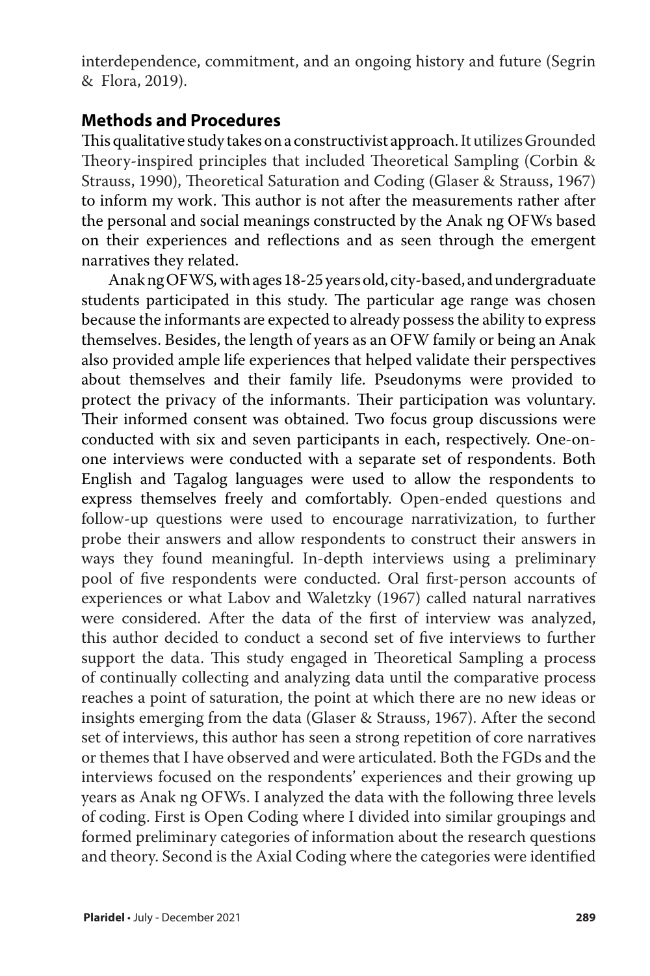interdependence, commitment, and an ongoing history and future (Segrin & Flora, 2019).

## **Methods and Procedures**

This qualitative study takes on a constructivist approach. It utilizes Grounded Theory-inspired principles that included Theoretical Sampling (Corbin & Strauss, 1990), Theoretical Saturation and Coding (Glaser & Strauss, 1967) to inform my work. This author is not after the measurements rather after the personal and social meanings constructed by the Anak ng OFWs based on their experiences and reflections and as seen through the emergent narratives they related.

Anak ng OFWS*,* with ages 18-25 years old, city-based, and undergraduate students participated in this study. The particular age range was chosen because the informants are expected to already possess the ability to express themselves. Besides, the length of years as an OFW family or being an Anak also provided ample life experiences that helped validate their perspectives about themselves and their family life. Pseudonyms were provided to protect the privacy of the informants. Their participation was voluntary. Their informed consent was obtained. Two focus group discussions were conducted with six and seven participants in each, respectively. One-onone interviews were conducted with a separate set of respondents. Both English and Tagalog languages were used to allow the respondents to express themselves freely and comfortably. Open-ended questions and follow-up questions were used to encourage narrativization, to further probe their answers and allow respondents to construct their answers in ways they found meaningful. In-depth interviews using a preliminary pool of five respondents were conducted. Oral first-person accounts of experiences or what Labov and Waletzky (1967) called natural narratives were considered. After the data of the first of interview was analyzed, this author decided to conduct a second set of five interviews to further support the data. This study engaged in Theoretical Sampling a process of continually collecting and analyzing data until the comparative process reaches a point of saturation, the point at which there are no new ideas or insights emerging from the data (Glaser & Strauss, 1967). After the second set of interviews, this author has seen a strong repetition of core narratives or themes that I have observed and were articulated. Both the FGDs and the interviews focused on the respondents' experiences and their growing up years as Anak ng OFWs. I analyzed the data with the following three levels of coding. First is Open Coding where I divided into similar groupings and formed preliminary categories of information about the research questions and theory. Second is the Axial Coding where the categories were identified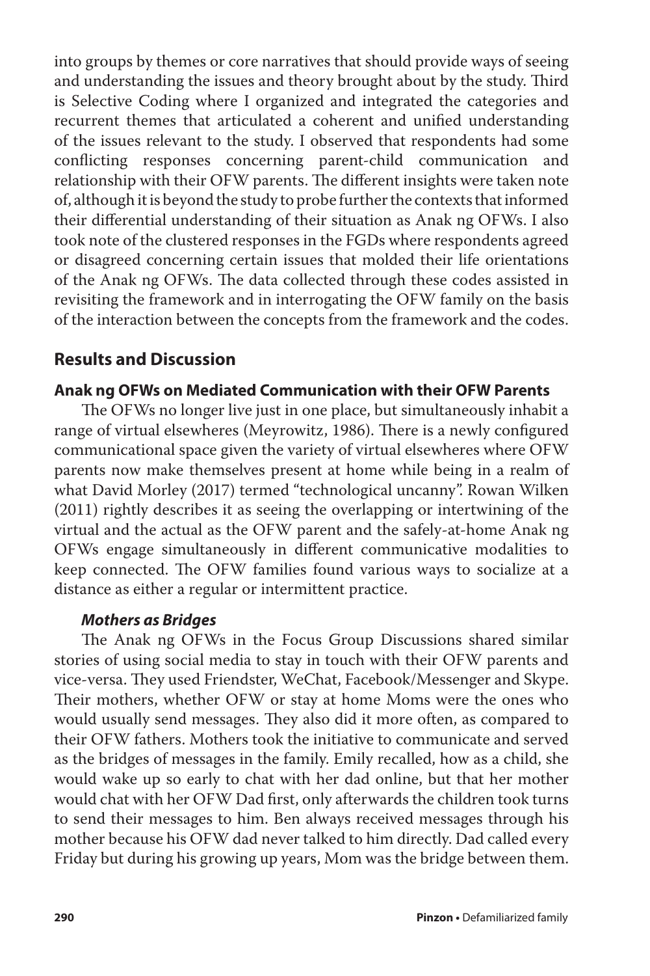into groups by themes or core narratives that should provide ways of seeing and understanding the issues and theory brought about by the study. Third is Selective Coding where I organized and integrated the categories and recurrent themes that articulated a coherent and unified understanding of the issues relevant to the study. I observed that respondents had some conflicting responses concerning parent-child communication and relationship with their OFW parents. The different insights were taken note of, although it is beyond the study to probe further the contexts that informed their differential understanding of their situation as Anak ng OFWs. I also took note of the clustered responses in the FGDs where respondents agreed or disagreed concerning certain issues that molded their life orientations of the Anak ng OFWs. The data collected through these codes assisted in revisiting the framework and in interrogating the OFW family on the basis of the interaction between the concepts from the framework and the codes.

## **Results and Discussion**

#### **Anak ng OFWs on Mediated Communication with their OFW Parents**

The OFWs no longer live just in one place, but simultaneously inhabit a range of virtual elsewheres (Meyrowitz, 1986). There is a newly configured communicational space given the variety of virtual elsewheres where OFW parents now make themselves present at home while being in a realm of what David Morley (2017) termed "technological uncanny". Rowan Wilken (2011) rightly describes it as seeing the overlapping or intertwining of the virtual and the actual as the OFW parent and the safely-at-home Anak ng OFWs engage simultaneously in different communicative modalities to keep connected. The OFW families found various ways to socialize at a distance as either a regular or intermittent practice.

#### *Mothers as Bridges*

The Anak ng OFWs in the Focus Group Discussions shared similar stories of using social media to stay in touch with their OFW parents and vice-versa. They used Friendster, WeChat, Facebook/Messenger and Skype. Their mothers, whether OFW or stay at home Moms were the ones who would usually send messages. They also did it more often, as compared to their OFW fathers. Mothers took the initiative to communicate and served as the bridges of messages in the family. Emily recalled, how as a child, she would wake up so early to chat with her dad online, but that her mother would chat with her OFW Dad first, only afterwards the children took turns to send their messages to him. Ben always received messages through his mother because his OFW dad never talked to him directly. Dad called every Friday but during his growing up years, Mom was the bridge between them.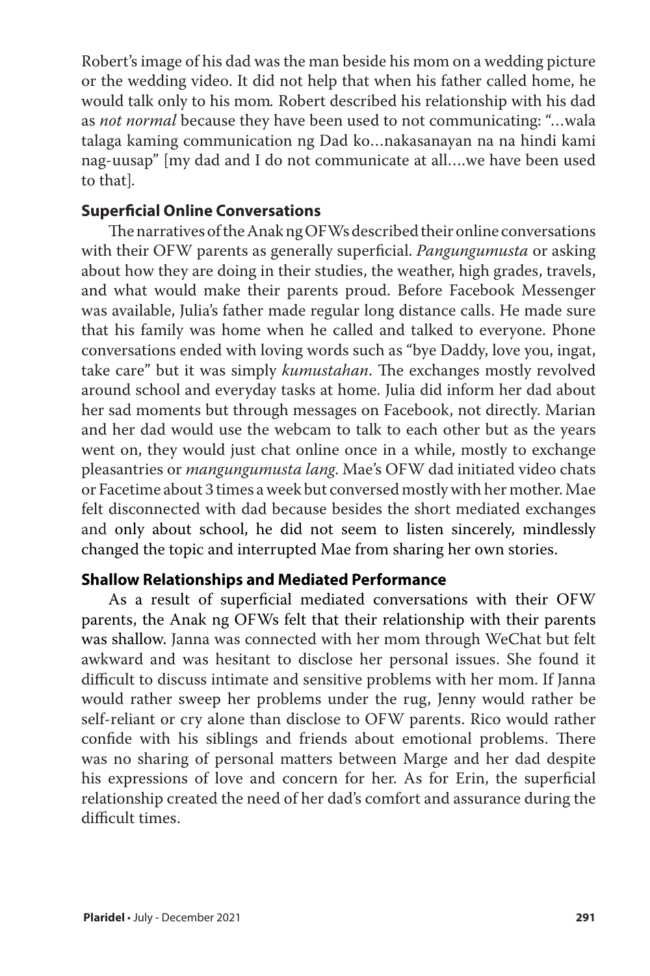Robert's image of his dad was the man beside his mom on a wedding picture or the wedding video. It did not help that when his father called home, he would talk only to his mom*.* Robert described his relationship with his dad as *not normal* because they have been used to not communicating: "…wala talaga kaming communication ng Dad ko…nakasanayan na na hindi kami nag-uusap" [my dad and I do not communicate at all….we have been used to that]*.*

#### **Superficial Online Conversations**

The narratives of the Anak ng OFWs described their online conversations with their OFW parents as generally superficial. *Pangungumusta* or asking about how they are doing in their studies, the weather, high grades, travels, and what would make their parents proud. Before Facebook Messenger was available, Julia's father made regular long distance calls. He made sure that his family was home when he called and talked to everyone. Phone conversations ended with loving words such as "bye Daddy, love you, ingat, take care" but it was simply *kumustahan*. The exchanges mostly revolved around school and everyday tasks at home. Julia did inform her dad about her sad moments but through messages on Facebook, not directly. Marian and her dad would use the webcam to talk to each other but as the years went on, they would just chat online once in a while, mostly to exchange pleasantries or *mangungumusta lang*. Mae's OFW dad initiated video chats or Facetime about 3 times a week but conversed mostly with her mother. Mae felt disconnected with dad because besides the short mediated exchanges and only about school, he did not seem to listen sincerely, mindlessly changed the topic and interrupted Mae from sharing her own stories.

#### **Shallow Relationships and Mediated Performance**

As a result of superficial mediated conversations with their OFW parents, the Anak ng OFWs felt that their relationship with their parents was shallow. Janna was connected with her mom through WeChat but felt awkward and was hesitant to disclose her personal issues. She found it difficult to discuss intimate and sensitive problems with her mom. If Janna would rather sweep her problems under the rug, Jenny would rather be self-reliant or cry alone than disclose to OFW parents. Rico would rather confide with his siblings and friends about emotional problems. There was no sharing of personal matters between Marge and her dad despite his expressions of love and concern for her. As for Erin, the superficial relationship created the need of her dad's comfort and assurance during the difficult times.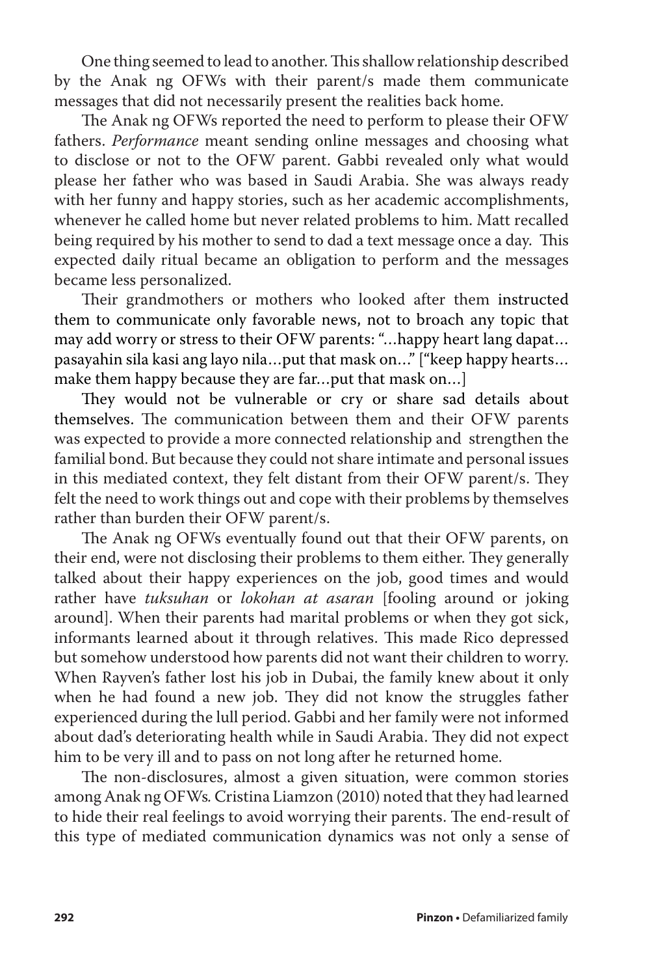One thing seemed to lead to another. This shallow relationship described by the Anak ng OFWs with their parent/s made them communicate messages that did not necessarily present the realities back home.

The Anak ng OFWs reported the need to perform to please their OFW fathers. *Performance* meant sending online messages and choosing what to disclose or not to the OFW parent. Gabbi revealed only what would please her father who was based in Saudi Arabia. She was always ready with her funny and happy stories, such as her academic accomplishments, whenever he called home but never related problems to him. Matt recalled being required by his mother to send to dad a text message once a day. This expected daily ritual became an obligation to perform and the messages became less personalized.

Their grandmothers or mothers who looked after them instructed them to communicate only favorable news, not to broach any topic that may add worry or stress to their OFW parents: "…happy heart lang dapat… pasayahin sila kasi ang layo nila…put that mask on…" ["keep happy hearts… make them happy because they are far…put that mask on…]

They would not be vulnerable or cry or share sad details about themselves. The communication between them and their OFW parents was expected to provide a more connected relationship and strengthen the familial bond. But because they could not share intimate and personal issues in this mediated context, they felt distant from their OFW parent/s. They felt the need to work things out and cope with their problems by themselves rather than burden their OFW parent/s.

The Anak ng OFWs eventually found out that their OFW parents, on their end, were not disclosing their problems to them either. They generally talked about their happy experiences on the job, good times and would rather have *tuksuhan* or *lokohan at asaran* [fooling around or joking around]. When their parents had marital problems or when they got sick, informants learned about it through relatives. This made Rico depressed but somehow understood how parents did not want their children to worry. When Rayven's father lost his job in Dubai, the family knew about it only when he had found a new job. They did not know the struggles father experienced during the lull period. Gabbi and her family were not informed about dad's deteriorating health while in Saudi Arabia. They did not expect him to be very ill and to pass on not long after he returned home.

The non-disclosures, almost a given situation, were common stories among Anak ng OFWs*.* Cristina Liamzon (2010) noted that they had learned to hide their real feelings to avoid worrying their parents. The end-result of this type of mediated communication dynamics was not only a sense of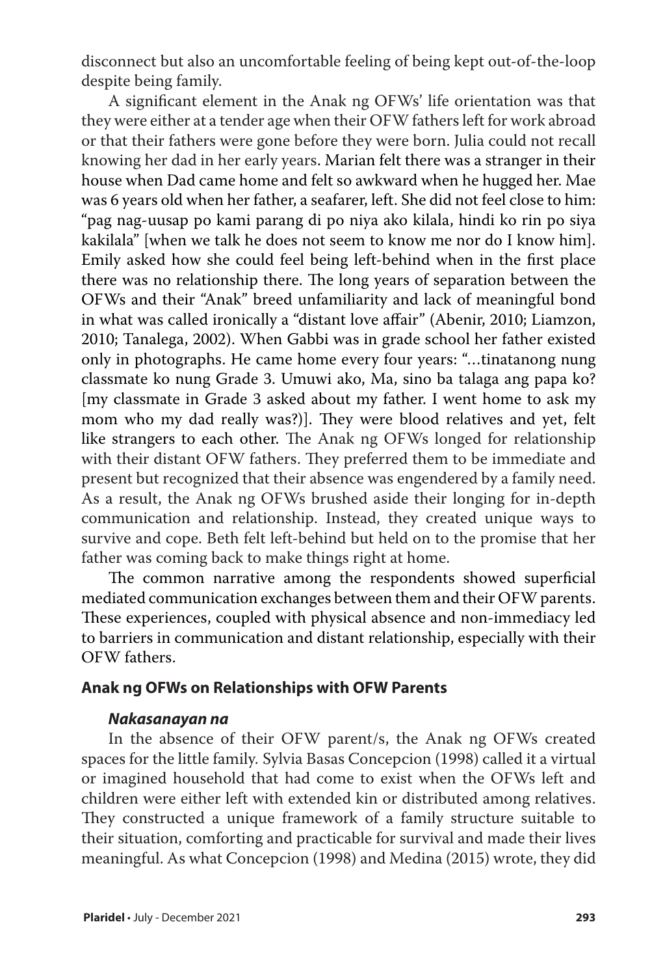disconnect but also an uncomfortable feeling of being kept out-of-the-loop despite being family.

A significant element in the Anak ng OFWs' life orientation was that they were either at a tender age when their OFW fathers left for work abroad or that their fathers were gone before they were born. Julia could not recall knowing her dad in her early years. Marian felt there was a stranger in their house when Dad came home and felt so awkward when he hugged her. Mae was 6 years old when her father, a seafarer, left. She did not feel close to him: "pag nag-uusap po kami parang di po niya ako kilala, hindi ko rin po siya kakilala" [when we talk he does not seem to know me nor do I know him]. Emily asked how she could feel being left-behind when in the first place there was no relationship there. The long years of separation between the OFWs and their "Anak" breed unfamiliarity and lack of meaningful bond in what was called ironically a "distant love affair" (Abenir, 2010; Liamzon, 2010; Tanalega, 2002). When Gabbi was in grade school her father existed only in photographs. He came home every four years: "…tinatanong nung classmate ko nung Grade 3. Umuwi ako, Ma, sino ba talaga ang papa ko? [my classmate in Grade 3 asked about my father. I went home to ask my mom who my dad really was?)]. They were blood relatives and yet, felt like strangers to each other. The Anak ng OFWs longed for relationship with their distant OFW fathers. They preferred them to be immediate and present but recognized that their absence was engendered by a family need. As a result, the Anak ng OFWs brushed aside their longing for in-depth communication and relationship. Instead, they created unique ways to survive and cope. Beth felt left-behind but held on to the promise that her father was coming back to make things right at home.

The common narrative among the respondents showed superficial mediated communication exchanges between them and their OFW parents. These experiences, coupled with physical absence and non-immediacy led to barriers in communication and distant relationship, especially with their OFW fathers.

#### **Anak ng OFWs on Relationships with OFW Parents**

#### *Nakasanayan na*

In the absence of their OFW parent/s, the Anak ng OFWs created spaces for the little family*.* Sylvia Basas Concepcion (1998) called it a virtual or imagined household that had come to exist when the OFWs left and children were either left with extended kin or distributed among relatives. They constructed a unique framework of a family structure suitable to their situation, comforting and practicable for survival and made their lives meaningful. As what Concepcion (1998) and Medina (2015) wrote, they did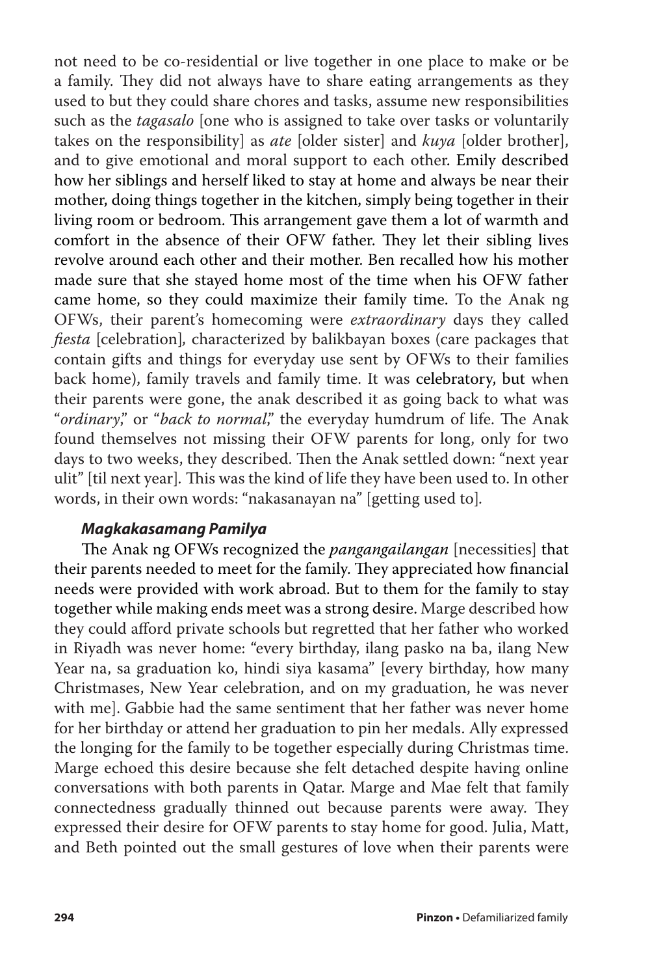not need to be co-residential or live together in one place to make or be a family. They did not always have to share eating arrangements as they used to but they could share chores and tasks, assume new responsibilities such as the *tagasalo* [one who is assigned to take over tasks or voluntarily takes on the responsibility] as *ate* [older sister] and *kuya* [older brother], and to give emotional and moral support to each other. Emily described how her siblings and herself liked to stay at home and always be near their mother, doing things together in the kitchen, simply being together in their living room or bedroom. This arrangement gave them a lot of warmth and comfort in the absence of their OFW father. They let their sibling lives revolve around each other and their mother. Ben recalled how his mother made sure that she stayed home most of the time when his OFW father came home, so they could maximize their family time. To the Anak ng OFWs, their parent's homecoming were *extraordinary* days they called *fiesta* [celebration]*,* characterized by balikbayan boxes (care packages that contain gifts and things for everyday use sent by OFWs to their families back home), family travels and family time. It was celebratory, but when their parents were gone, the anak described it as going back to what was "*ordinary*," or "*back to normal*," the everyday humdrum of life. The Anak found themselves not missing their OFW parents for long, only for two days to two weeks, they described. Then the Anak settled down: "next year ulit" [til next year]*.* This was the kind of life they have been used to. In other words, in their own words: "nakasanayan na" [getting used to]*.*

#### *Magkakasamang Pamilya*

The Anak ng OFWs recognized the *pangangailangan* [necessities] that their parents needed to meet for the family. They appreciated how financial needs were provided with work abroad. But to them for the family to stay together while making ends meet was a strong desire. Marge described how they could afford private schools but regretted that her father who worked in Riyadh was never home: "every birthday, ilang pasko na ba, ilang New Year na, sa graduation ko, hindi siya kasama" [every birthday, how many Christmases, New Year celebration, and on my graduation, he was never with me]. Gabbie had the same sentiment that her father was never home for her birthday or attend her graduation to pin her medals. Ally expressed the longing for the family to be together especially during Christmas time. Marge echoed this desire because she felt detached despite having online conversations with both parents in Qatar. Marge and Mae felt that family connectedness gradually thinned out because parents were away. They expressed their desire for OFW parents to stay home for good. Julia, Matt, and Beth pointed out the small gestures of love when their parents were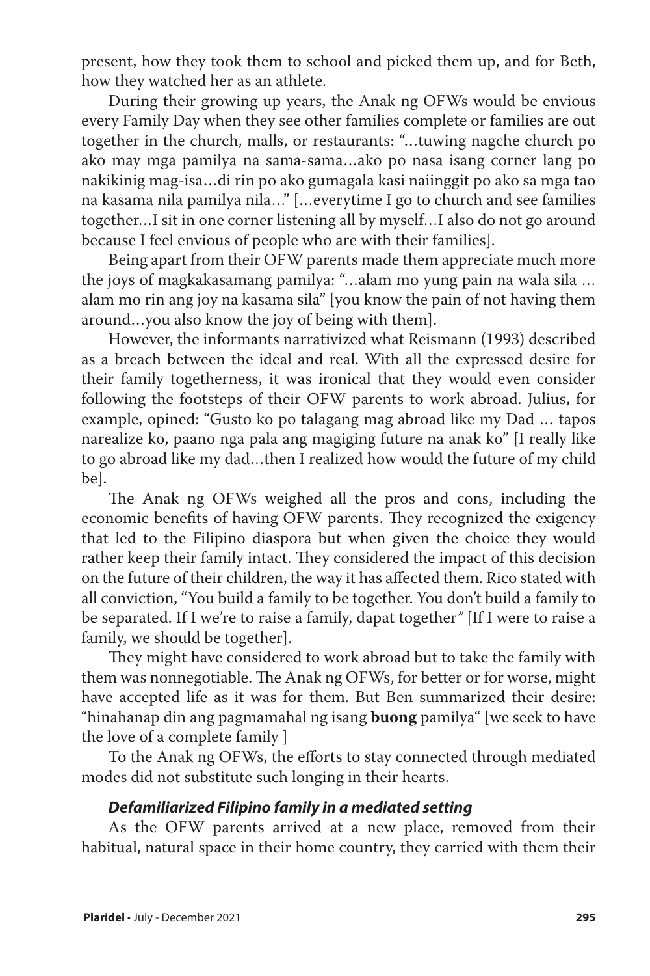present, how they took them to school and picked them up, and for Beth, how they watched her as an athlete.

During their growing up years, the Anak ng OFWs would be envious every Family Day when they see other families complete or families are out together in the church, malls, or restaurants: "…tuwing nagche church po ako may mga pamilya na sama-sama…ako po nasa isang corner lang po nakikinig mag-isa…di rin po ako gumagala kasi naiinggit po ako sa mga tao na kasama nila pamilya nila…" […everytime I go to church and see families together…I sit in one corner listening all by myself…I also do not go around because I feel envious of people who are with their families].

Being apart from their OFW parents made them appreciate much more the joys of magkakasamang pamilya: "…alam mo yung pain na wala sila … alam mo rin ang joy na kasama sila" [you know the pain of not having them around…you also know the joy of being with them].

However, the informants narrativized what Reismann (1993) described as a breach between the ideal and real. With all the expressed desire for their family togetherness, it was ironical that they would even consider following the footsteps of their OFW parents to work abroad. Julius, for example, opined: "Gusto ko po talagang mag abroad like my Dad … tapos narealize ko, paano nga pala ang magiging future na anak ko" [I really like to go abroad like my dad…then I realized how would the future of my child be].

The Anak ng OFWs weighed all the pros and cons, including the economic benefits of having OFW parents. They recognized the exigency that led to the Filipino diaspora but when given the choice they would rather keep their family intact. They considered the impact of this decision on the future of their children, the way it has affected them. Rico stated with all conviction, "You build a family to be together. You don't build a family to be separated. If I we're to raise a family, dapat together*"* [If I were to raise a family, we should be together].

They might have considered to work abroad but to take the family with them was nonnegotiable. The Anak ng OFWs, for better or for worse, might have accepted life as it was for them. But Ben summarized their desire: "hinahanap din ang pagmamahal ng isang **buong** pamilya" [we seek to have the love of a complete family ]

To the Anak ng OFWs, the efforts to stay connected through mediated modes did not substitute such longing in their hearts.

#### *Defamiliarized Filipino family in a mediated setting*

As the OFW parents arrived at a new place, removed from their habitual, natural space in their home country, they carried with them their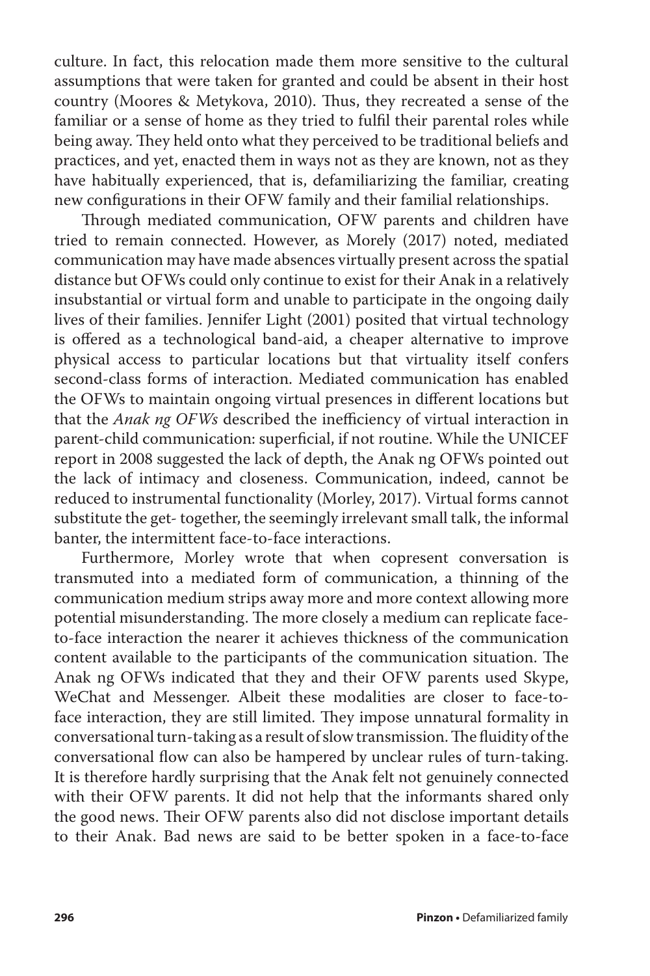culture. In fact, this relocation made them more sensitive to the cultural assumptions that were taken for granted and could be absent in their host country (Moores & Metykova, 2010). Thus, they recreated a sense of the familiar or a sense of home as they tried to fulfil their parental roles while being away. They held onto what they perceived to be traditional beliefs and practices, and yet, enacted them in ways not as they are known, not as they have habitually experienced, that is, defamiliarizing the familiar, creating new configurations in their OFW family and their familial relationships.

Through mediated communication, OFW parents and children have tried to remain connected. However, as Morely (2017) noted, mediated communication may have made absences virtually present across the spatial distance but OFWs could only continue to exist for their Anak in a relatively insubstantial or virtual form and unable to participate in the ongoing daily lives of their families. Jennifer Light (2001) posited that virtual technology is offered as a technological band-aid, a cheaper alternative to improve physical access to particular locations but that virtuality itself confers second-class forms of interaction. Mediated communication has enabled the OFWs to maintain ongoing virtual presences in different locations but that the *Anak ng OFWs* described the inefficiency of virtual interaction in parent-child communication: superficial, if not routine. While the UNICEF report in 2008 suggested the lack of depth, the Anak ng OFWs pointed out the lack of intimacy and closeness. Communication, indeed, cannot be reduced to instrumental functionality (Morley, 2017). Virtual forms cannot substitute the get- together, the seemingly irrelevant small talk, the informal banter, the intermittent face-to-face interactions.

Furthermore, Morley wrote that when copresent conversation is transmuted into a mediated form of communication, a thinning of the communication medium strips away more and more context allowing more potential misunderstanding. The more closely a medium can replicate faceto-face interaction the nearer it achieves thickness of the communication content available to the participants of the communication situation. The Anak ng OFWs indicated that they and their OFW parents used Skype, WeChat and Messenger. Albeit these modalities are closer to face-toface interaction, they are still limited. They impose unnatural formality in conversational turn-taking as a result of slow transmission. The fluidity of the conversational flow can also be hampered by unclear rules of turn-taking. It is therefore hardly surprising that the Anak felt not genuinely connected with their OFW parents. It did not help that the informants shared only the good news. Their OFW parents also did not disclose important details to their Anak. Bad news are said to be better spoken in a face-to-face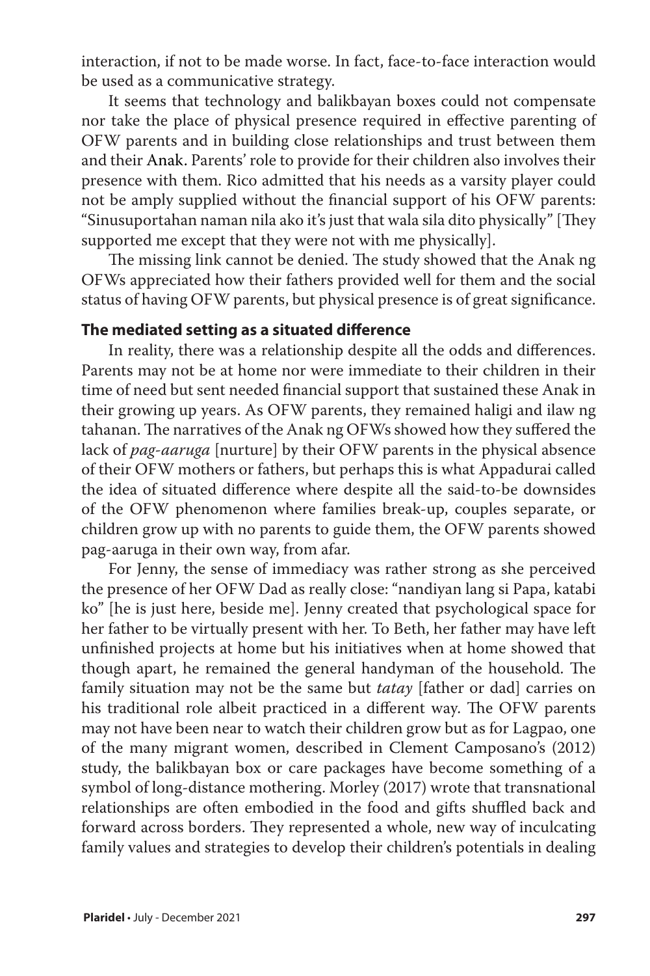interaction, if not to be made worse. In fact, face-to-face interaction would be used as a communicative strategy.

It seems that technology and balikbayan boxes could not compensate nor take the place of physical presence required in effective parenting of OFW parents and in building close relationships and trust between them and their Anak. Parents' role to provide for their children also involves their presence with them. Rico admitted that his needs as a varsity player could not be amply supplied without the financial support of his OFW parents: "Sinusuportahan naman nila ako it's just that wala sila dito physically" [They supported me except that they were not with me physically].

The missing link cannot be denied. The study showed that the Anak ng OFWs appreciated how their fathers provided well for them and the social status of having OFW parents, but physical presence is of great significance.

#### **The mediated setting as a situated difference**

In reality, there was a relationship despite all the odds and differences. Parents may not be at home nor were immediate to their children in their time of need but sent needed financial support that sustained these Anak in their growing up years. As OFW parents, they remained haligi and ilaw ng tahanan. The narratives of the Anak ng OFWs showed how they suffered the lack of *pag-aaruga* [nurture] by their OFW parents in the physical absence of their OFW mothers or fathers, but perhaps this is what Appadurai called the idea of situated difference where despite all the said-to-be downsides of the OFW phenomenon where families break-up, couples separate, or children grow up with no parents to guide them, the OFW parents showed pag-aaruga in their own way, from afar.

For Jenny, the sense of immediacy was rather strong as she perceived the presence of her OFW Dad as really close: "nandiyan lang si Papa, katabi ko" [he is just here, beside me]. Jenny created that psychological space for her father to be virtually present with her. To Beth, her father may have left unfinished projects at home but his initiatives when at home showed that though apart, he remained the general handyman of the household. The family situation may not be the same but *tatay* [father or dad] carries on his traditional role albeit practiced in a different way. The OFW parents may not have been near to watch their children grow but as for Lagpao, one of the many migrant women, described in Clement Camposano's (2012) study, the balikbayan box or care packages have become something of a symbol of long-distance mothering. Morley (2017) wrote that transnational relationships are often embodied in the food and gifts shuffled back and forward across borders. They represented a whole, new way of inculcating family values and strategies to develop their children's potentials in dealing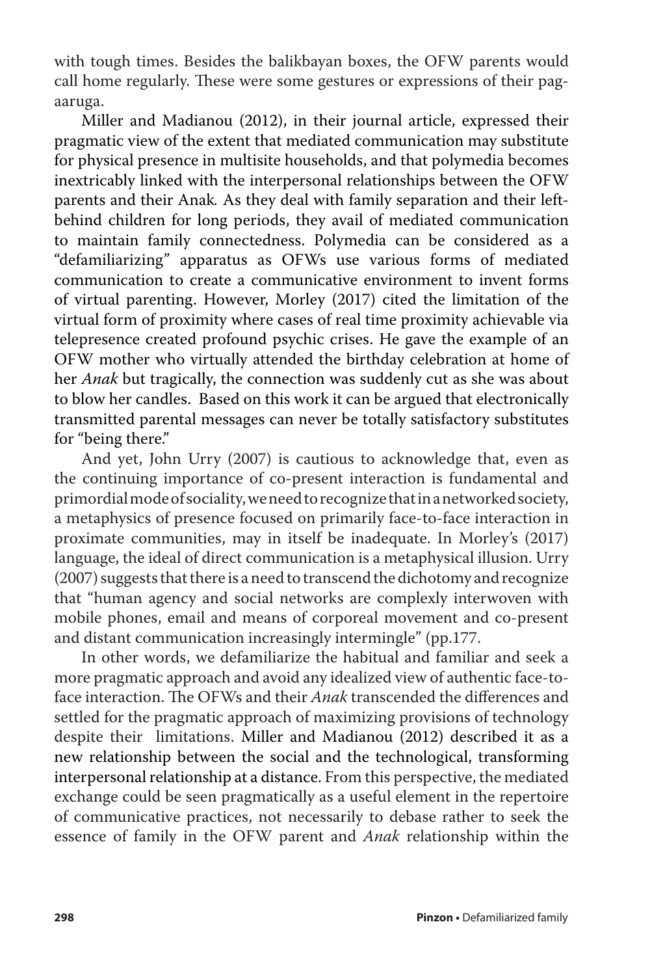with tough times. Besides the balikbayan boxes, the OFW parents would call home regularly. These were some gestures or expressions of their pagaaruga.

Miller and Madianou (2012), in their journal article, expressed their pragmatic view of the extent that mediated communication may substitute for physical presence in multisite households, and that polymedia becomes inextricably linked with the interpersonal relationships between the OFW parents and their Anak*.* As they deal with family separation and their leftbehind children for long periods, they avail of mediated communication to maintain family connectedness. Polymedia can be considered as a "defamiliarizing" apparatus as OFWs use various forms of mediated communication to create a communicative environment to invent forms of virtual parenting. However, Morley (2017) cited the limitation of the virtual form of proximity where cases of real time proximity achievable via telepresence created profound psychic crises. He gave the example of an OFW mother who virtually attended the birthday celebration at home of her *Anak* but tragically, the connection was suddenly cut as she was about to blow her candles. Based on this work it can be argued that electronically transmitted parental messages can never be totally satisfactory substitutes for "being there."

And yet, John Urry (2007) is cautious to acknowledge that, even as the continuing importance of co-present interaction is fundamental and primordial mode of sociality, we need to recognize that in a networked society, a metaphysics of presence focused on primarily face-to-face interaction in proximate communities, may in itself be inadequate. In Morley's (2017) language, the ideal of direct communication is a metaphysical illusion. Urry (2007) suggests that there is a need to transcend the dichotomy and recognize that "human agency and social networks are complexly interwoven with mobile phones, email and means of corporeal movement and co-present and distant communication increasingly intermingle" (pp.177.

In other words, we defamiliarize the habitual and familiar and seek a more pragmatic approach and avoid any idealized view of authentic face-toface interaction. The OFWs and their *Anak* transcended the differences and settled for the pragmatic approach of maximizing provisions of technology despite their limitations. Miller and Madianou (2012) described it as a new relationship between the social and the technological, transforming interpersonal relationship at a distance. From this perspective, the mediated exchange could be seen pragmatically as a useful element in the repertoire of communicative practices, not necessarily to debase rather to seek the essence of family in the OFW parent and *Anak* relationship within the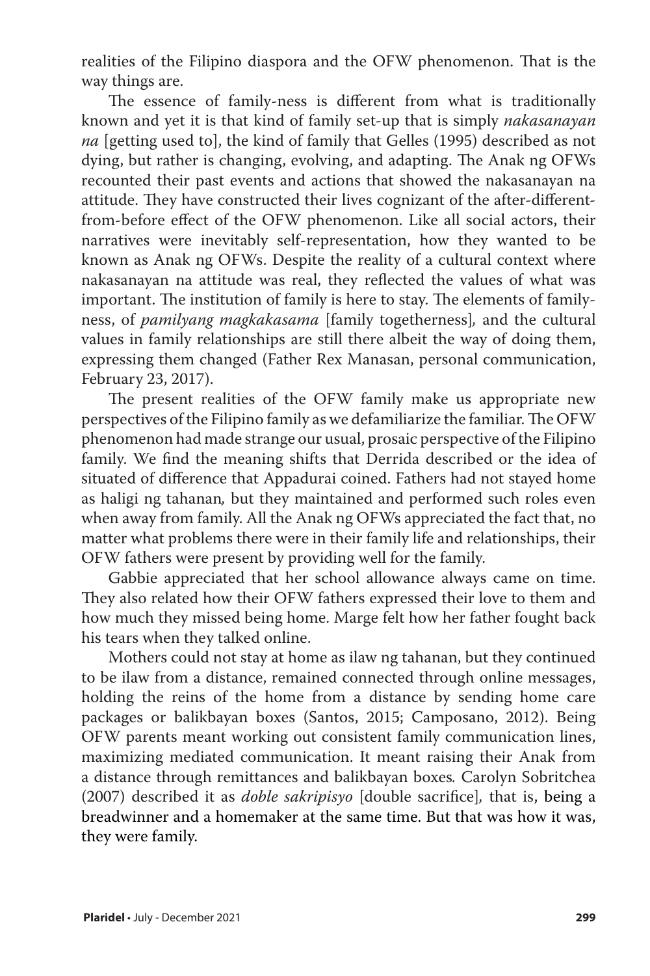realities of the Filipino diaspora and the OFW phenomenon. That is the way things are.

The essence of family-ness is different from what is traditionally known and yet it is that kind of family set-up that is simply *nakasanayan na* [getting used to], the kind of family that Gelles (1995) described as not dying, but rather is changing, evolving, and adapting. The Anak ng OFWs recounted their past events and actions that showed the nakasanayan na attitude. They have constructed their lives cognizant of the after-differentfrom-before effect of the OFW phenomenon. Like all social actors, their narratives were inevitably self-representation, how they wanted to be known as Anak ng OFWs. Despite the reality of a cultural context where nakasanayan na attitude was real, they reflected the values of what was important. The institution of family is here to stay. The elements of familyness, of *pamilyang magkakasama* [family togetherness]*,* and the cultural values in family relationships are still there albeit the way of doing them, expressing them changed (Father Rex Manasan, personal communication, February 23, 2017).

The present realities of the OFW family make us appropriate new perspectives of the Filipino family as we defamiliarize the familiar. The OFW phenomenon had made strange our usual, prosaic perspective of the Filipino family. We find the meaning shifts that Derrida described or the idea of situated of difference that Appadurai coined. Fathers had not stayed home as haligi ng tahanan*,* but they maintained and performed such roles even when away from family. All the Anak ng OFWs appreciated the fact that, no matter what problems there were in their family life and relationships, their OFW fathers were present by providing well for the family.

Gabbie appreciated that her school allowance always came on time. They also related how their OFW fathers expressed their love to them and how much they missed being home. Marge felt how her father fought back his tears when they talked online.

Mothers could not stay at home as ilaw ng tahanan, but they continued to be ilaw from a distance, remained connected through online messages, holding the reins of the home from a distance by sending home care packages or balikbayan boxes (Santos, 2015; Camposano, 2012). Being OFW parents meant working out consistent family communication lines, maximizing mediated communication. It meant raising their Anak from a distance through remittances and balikbayan boxes*.* Carolyn Sobritchea (2007) described it as *doble sakripisyo* [double sacrifice]*,* that is, being a breadwinner and a homemaker at the same time. But that was how it was, they were family.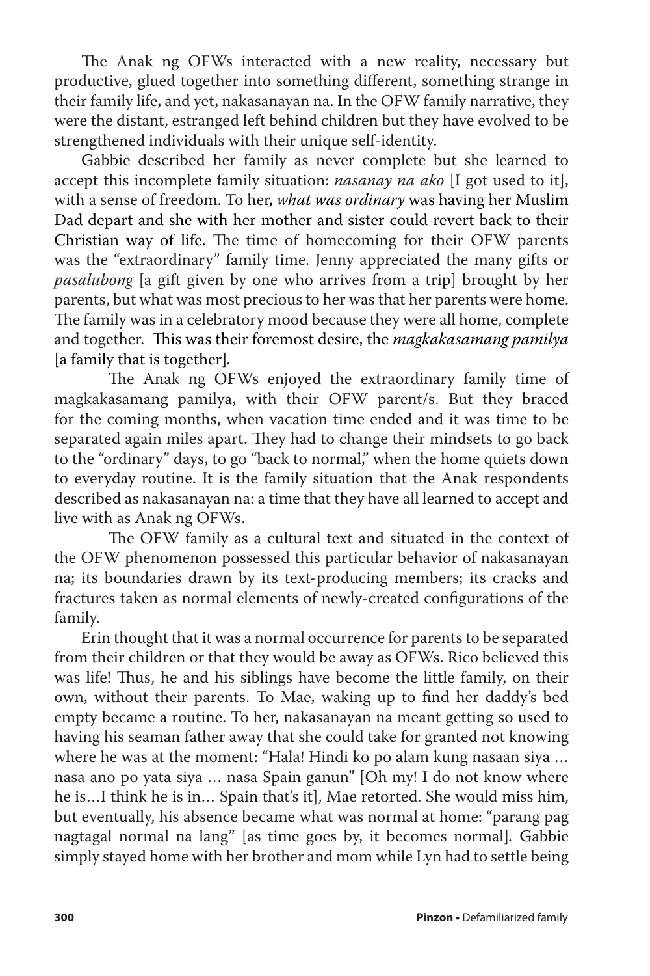The Anak ng OFWs interacted with a new reality, necessary but productive, glued together into something different, something strange in their family life, and yet, nakasanayan na. In the OFW family narrative, they were the distant, estranged left behind children but they have evolved to be strengthened individuals with their unique self-identity.

Gabbie described her family as never complete but she learned to accept this incomplete family situation: *nasanay na ako* [I got used to it], with a sense of freedom. To her, *what was ordinary* was having her Muslim Dad depart and she with her mother and sister could revert back to their Christian way of life. The time of homecoming for their OFW parents was the "extraordinary" family time. Jenny appreciated the many gifts or *pasalubong* [a gift given by one who arrives from a trip] brought by her parents, but what was most precious to her was that her parents were home. The family was in a celebratory mood because they were all home, complete and together. This was their foremost desire, the *magkakasamang pamilya*  [a family that is together]*.*

The Anak ng OFWs enjoyed the extraordinary family time of magkakasamang pamilya, with their OFW parent/s. But they braced for the coming months, when vacation time ended and it was time to be separated again miles apart. They had to change their mindsets to go back to the "ordinary" days, to go "back to normal," when the home quiets down to everyday routine. It is the family situation that the Anak respondents described as nakasanayan na: a time that they have all learned to accept and live with as Anak ng OFWs.

The OFW family as a cultural text and situated in the context of the OFW phenomenon possessed this particular behavior of nakasanayan na; its boundaries drawn by its text-producing members; its cracks and fractures taken as normal elements of newly-created configurations of the family.

Erin thought that it was a normal occurrence for parents to be separated from their children or that they would be away as OFWs. Rico believed this was life! Thus, he and his siblings have become the little family, on their own, without their parents. To Mae, waking up to find her daddy's bed empty became a routine. To her, nakasanayan na meant getting so used to having his seaman father away that she could take for granted not knowing where he was at the moment: "Hala! Hindi ko po alam kung nasaan siya … nasa ano po yata siya … nasa Spain ganun" [Oh my! I do not know where he is…I think he is in… Spain that's it], Mae retorted. She would miss him, but eventually, his absence became what was normal at home: "parang pag nagtagal normal na lang" [as time goes by, it becomes normal]*.* Gabbie simply stayed home with her brother and mom while Lyn had to settle being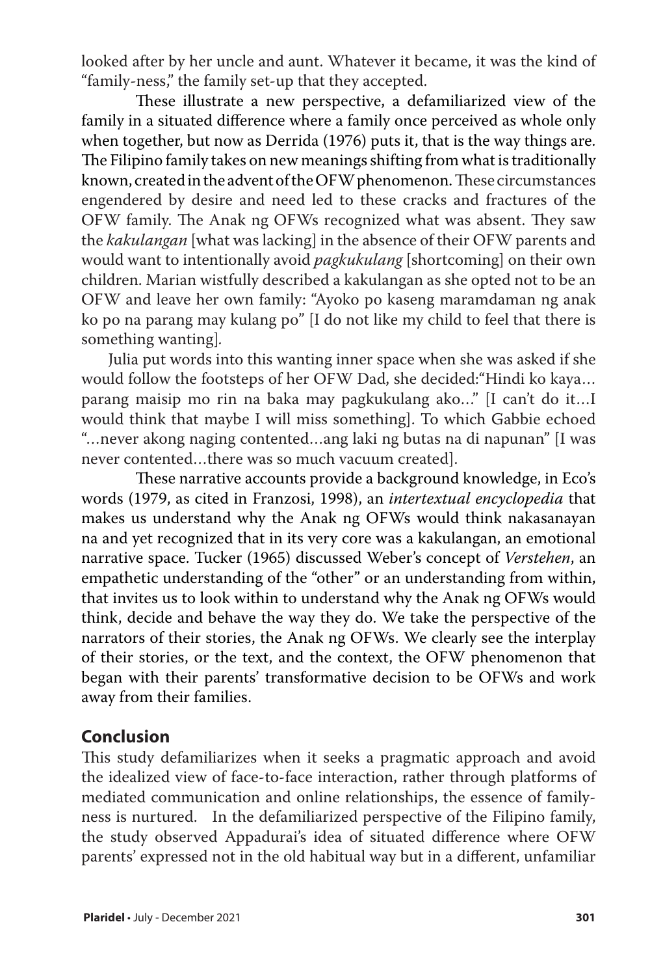looked after by her uncle and aunt. Whatever it became, it was the kind of "family-ness," the family set-up that they accepted.

These illustrate a new perspective, a defamiliarized view of the family in a situated difference where a family once perceived as whole only when together, but now as Derrida (1976) puts it, that is the way things are. The Filipino family takes on new meanings shifting from what is traditionally known, created in the advent of the OFW phenomenon. These circumstances engendered by desire and need led to these cracks and fractures of the OFW family. The Anak ng OFWs recognized what was absent. They saw the *kakulangan* [what was lacking] in the absence of their OFW parents and would want to intentionally avoid *pagkukulang* [shortcoming] on their own children. Marian wistfully described a kakulangan as she opted not to be an OFW and leave her own family: "Ayoko po kaseng maramdaman ng anak ko po na parang may kulang po" [I do not like my child to feel that there is something wanting]*.*

Julia put words into this wanting inner space when she was asked if she would follow the footsteps of her OFW Dad, she decided:"Hindi ko kaya… parang maisip mo rin na baka may pagkukulang ako…" [I can't do it…I would think that maybe I will miss something]. To which Gabbie echoed "…never akong naging contented…ang laki ng butas na di napunan" [I was never contented…there was so much vacuum created].

These narrative accounts provide a background knowledge, in Eco's words (1979, as cited in Franzosi, 1998), an *intertextual encyclopedia* that makes us understand why the Anak ng OFWs would think nakasanayan na and yet recognized that in its very core was a kakulangan, an emotional narrative space. Tucker (1965) discussed Weber's concept of *Verstehen*, an empathetic understanding of the "other" or an understanding from within, that invites us to look within to understand why the Anak ng OFWs would think, decide and behave the way they do. We take the perspective of the narrators of their stories, the Anak ng OFWs. We clearly see the interplay of their stories, or the text, and the context, the OFW phenomenon that began with their parents' transformative decision to be OFWs and work away from their families.

## **Conclusion**

This study defamiliarizes when it seeks a pragmatic approach and avoid the idealized view of face-to-face interaction, rather through platforms of mediated communication and online relationships, the essence of familyness is nurtured. In the defamiliarized perspective of the Filipino family, the study observed Appadurai's idea of situated difference where OFW parents' expressed not in the old habitual way but in a different, unfamiliar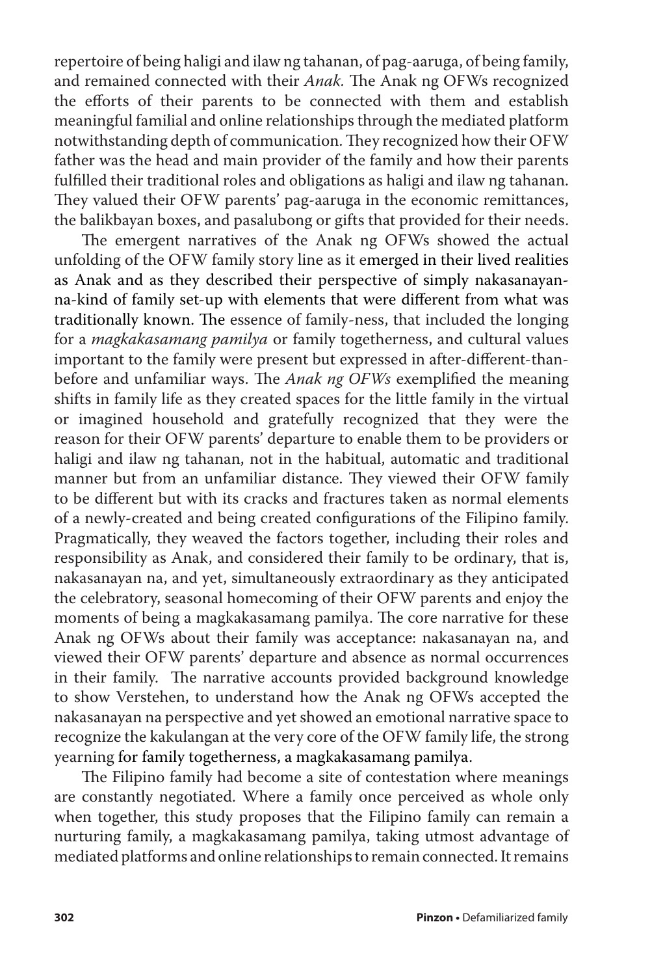repertoire of being haligi and ilaw ng tahanan, of pag-aaruga, of being family, and remained connected with their *Anak.* The Anak ng OFWs recognized the efforts of their parents to be connected with them and establish meaningful familial and online relationships through the mediated platform notwithstanding depth of communication. They recognized how their OFW father was the head and main provider of the family and how their parents fulfilled their traditional roles and obligations as haligi and ilaw ng tahanan. They valued their OFW parents' pag-aaruga in the economic remittances, the balikbayan boxes, and pasalubong or gifts that provided for their needs.

The emergent narratives of the Anak ng OFWs showed the actual unfolding of the OFW family story line as it emerged in their lived realities as Anak and as they described their perspective of simply nakasanayanna-kind of family set-up with elements that were different from what was traditionally known. The essence of family-ness, that included the longing for a *magkakasamang pamilya* or family togetherness, and cultural values important to the family were present but expressed in after-different-thanbefore and unfamiliar ways. The *Anak ng OFWs* exemplified the meaning shifts in family life as they created spaces for the little family in the virtual or imagined household and gratefully recognized that they were the reason for their OFW parents' departure to enable them to be providers or haligi and ilaw ng tahanan, not in the habitual, automatic and traditional manner but from an unfamiliar distance. They viewed their OFW family to be different but with its cracks and fractures taken as normal elements of a newly-created and being created configurations of the Filipino family. Pragmatically, they weaved the factors together, including their roles and responsibility as Anak, and considered their family to be ordinary, that is, nakasanayan na, and yet, simultaneously extraordinary as they anticipated the celebratory, seasonal homecoming of their OFW parents and enjoy the moments of being a magkakasamang pamilya. The core narrative for these Anak ng OFWs about their family was acceptance: nakasanayan na, and viewed their OFW parents' departure and absence as normal occurrences in their family. The narrative accounts provided background knowledge to show Verstehen, to understand how the Anak ng OFWs accepted the nakasanayan na perspective and yet showed an emotional narrative space to recognize the kakulangan at the very core of the OFW family life, the strong yearning for family togetherness, a magkakasamang pamilya.

The Filipino family had become a site of contestation where meanings are constantly negotiated. Where a family once perceived as whole only when together, this study proposes that the Filipino family can remain a nurturing family, a magkakasamang pamilya, taking utmost advantage of mediated platforms and online relationships to remain connected. It remains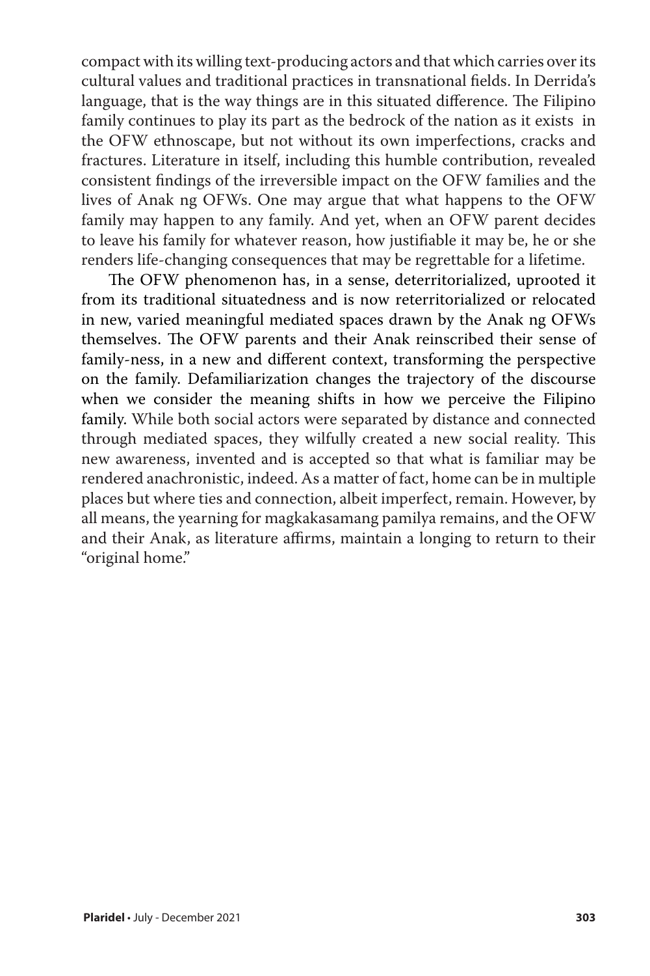compact with its willing text-producing actors and that which carries over its cultural values and traditional practices in transnational fields. In Derrida's language, that is the way things are in this situated difference. The Filipino family continues to play its part as the bedrock of the nation as it exists in the OFW ethnoscape, but not without its own imperfections, cracks and fractures. Literature in itself, including this humble contribution, revealed consistent findings of the irreversible impact on the OFW families and the lives of Anak ng OFWs. One may argue that what happens to the OFW family may happen to any family. And yet, when an OFW parent decides to leave his family for whatever reason, how justifiable it may be, he or she renders life-changing consequences that may be regrettable for a lifetime.

The OFW phenomenon has, in a sense, deterritorialized, uprooted it from its traditional situatedness and is now reterritorialized or relocated in new, varied meaningful mediated spaces drawn by the Anak ng OFWs themselves. The OFW parents and their Anak reinscribed their sense of family-ness, in a new and different context, transforming the perspective on the family. Defamiliarization changes the trajectory of the discourse when we consider the meaning shifts in how we perceive the Filipino family. While both social actors were separated by distance and connected through mediated spaces, they wilfully created a new social reality. This new awareness, invented and is accepted so that what is familiar may be rendered anachronistic, indeed. As a matter of fact, home can be in multiple places but where ties and connection, albeit imperfect, remain. However, by all means, the yearning for magkakasamang pamilya remains, and the OFW and their Anak, as literature affirms, maintain a longing to return to their "original home."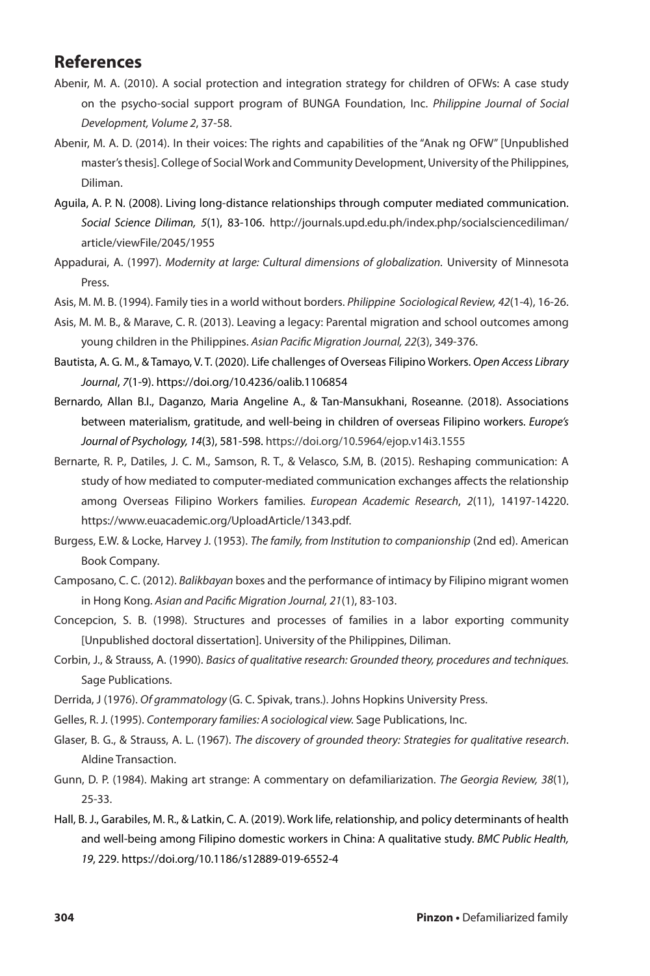## **References**

- Abenir, M. A. (2010). A social protection and integration strategy for children of OFWs: A case study on the psycho-social support program of BUNGA Foundation, Inc. *Philippine Journal of Social Development, Volume 2*, 37-58.
- Abenir, M. A. D. (2014). In their voices: The rights and capabilities of the "Anak ng OFW" [Unpublished master's thesis]. College of Social Work and Community Development, University of the Philippines, Diliman.
- Aguila, A. P. N. (2008). Living long-distance relationships through computer mediated communication. *Social Science Diliman, 5*(1), 83-106. http://journals.upd.edu.ph/index.php/socialsciencediliman/ article/viewFile/2045/1955
- Appadurai, A. (1997). *Modernity at large: Cultural dimensions of globalization.* University of Minnesota Press.
- Asis, M. M. B. (1994). Family ties in a world without borders. *Philippine Sociological Review, 42*(1-4), 16-26.
- Asis, M. M. B., & Marave, C. R. (2013). Leaving a legacy: Parental migration and school outcomes among young children in the Philippines. *Asian Pacific Migration Journal, 22*(3), 349-376.
- Bautista, A. G. M., & Tamayo, V. T. (2020). Life challenges of Overseas Filipino Workers. *Open Access Library Journal*, *7*(1-9). https://doi.org/10.4236/oalib.1106854
- Bernardo, Allan B.I., Daganzo, Maria Angeline A., & Tan-Mansukhani, Roseanne. (2018). Associations between materialism, gratitude, and well-being in children of overseas Filipino workers. *Europe's Journal of Psychology, 14*(3), 581-598. https://doi.org/10.5964/ejop.v14i3.1555
- Bernarte, R. P., Datiles, J. C. M., Samson, R. T., & Velasco, S.M, B. (2015). Reshaping communication: A study of how mediated to computer-mediated communication exchanges affects the relationship among Overseas Filipino Workers families. *European Academic Research*, *2*(11), 14197-14220. https://www.euacademic.org/UploadArticle/1343.pdf.
- Burgess, E.W. & Locke, Harvey J. (1953). *The family, from Institution to companionship* (2nd ed). American Book Company.
- Camposano, C. C. (2012). *Balikbayan* boxes and the performance of intimacy by Filipino migrant women in Hong Kong. *Asian and Pacific Migration Journal, 21*(1), 83-103.
- Concepcion, S. B. (1998). Structures and processes of families in a labor exporting community [Unpublished doctoral dissertation]. University of the Philippines, Diliman.
- Corbin, J., & Strauss, A. (1990). *Basics of qualitative research: Grounded theory, procedures and techniques.* Sage Publications.
- Derrida, J (1976). *Of grammatology* (G. C. Spivak, trans.). Johns Hopkins University Press.
- Gelles, R. J. (1995). *Contemporary families: A sociological view.* Sage Publications, Inc.
- Glaser, B. G., & Strauss, A. L. (1967). *The discovery of grounded theory: Strategies for qualitative research*. Aldine Transaction.
- Gunn, D. P. (1984). Making art strange: A commentary on defamiliarization. *The Georgia Review, 38*(1), 25-33.
- Hall, B. J., Garabiles, M. R., & Latkin, C. A. (2019). Work life, relationship, and policy determinants of health and well-being among Filipino domestic workers in China: A qualitative study. *BMC Public Health, 19*, 229. https://doi.org/10.1186/s12889-019-6552-4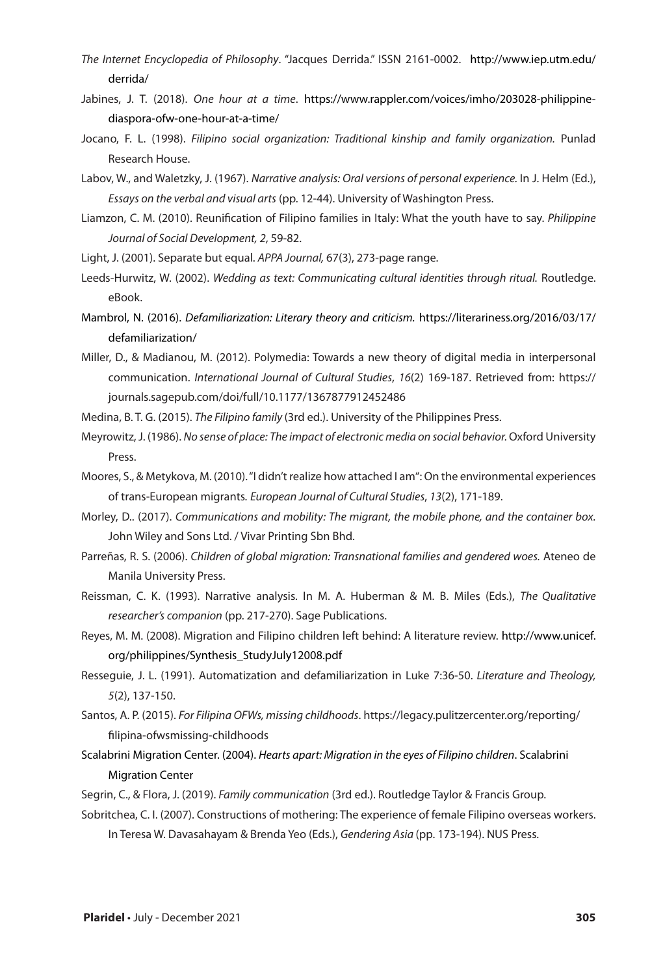- *The Internet Encyclopedia of Philosophy*. "Jacques Derrida." ISSN 2161-0002. http://www.iep.utm.edu/ derrida/
- Jabines, J. T. (2018). *One hour at a time*. https://www.rappler.com/voices/imho/203028-philippinediaspora-ofw-one-hour-at-a-time/
- Jocano, F. L. (1998). *Filipino social organization: Traditional kinship and family organization.* Punlad Research House.
- Labov, W., and Waletzky, J. (1967). *Narrative analysis: Oral versions of personal experience.* In J. Helm (Ed.), *Essays on the verbal and visual arts* (pp. 12-44). University of Washington Press.
- Liamzon, C. M. (2010). Reunification of Filipino families in Italy: What the youth have to say. *Philippine Journal of Social Development, 2*, 59-82.
- Light, J. (2001). Separate but equal. *APPA Journal,* 67(3), 273-page range.
- Leeds-Hurwitz, W. (2002). *Wedding as text: Communicating cultural identities through ritual.* Routledge. eBook.
- Mambrol, N. (2016). *Defamiliarization: Literary theory and criticism.* https://literariness.org/2016/03/17/ defamiliarization/
- Miller, D., & Madianou, M. (2012). Polymedia: Towards a new theory of digital media in interpersonal communication. *International Journal of Cultural Studies*, *16*(2) 169-187. Retrieved from: https:// journals.sagepub.com/doi/full/10.1177/1367877912452486
- Medina, B. T. G. (2015). *The Filipino family* (3rd ed.). University of the Philippines Press.
- Meyrowitz, J. (1986). *No sense of place: The impact of electronic media on social behavior.* Oxford University Press.
- Moores, S., & Metykova, M. (2010). "I didn't realize how attached I am": On the environmental experiences of trans-European migrants*. European Journal of Cultural Studies*, *13*(2), 171-189.
- Morley, D.. (2017). *Communications and mobility: The migrant, the mobile phone, and the container box.* John Wiley and Sons Ltd. / Vivar Printing Sbn Bhd.
- Parreñas, R. S. (2006). *Children of global migration: Transnational families and gendered woes.* Ateneo de Manila University Press.
- Reissman, C. K. (1993). Narrative analysis. In M. A. Huberman & M. B. Miles (Eds.), *The Qualitative researcher's companion* (pp. 217-270). Sage Publications.
- Reyes, M. M. (2008). Migration and Filipino children left behind: A literature review. http://www.unicef. org/philippines/Synthesis\_StudyJuly12008.pdf
- Resseguie, J. L. (1991). Automatization and defamiliarization in Luke 7:36-50. *Literature and Theology, 5*(2), 137-150.
- Santos, A. P. (2015). *For Filipina OFWs, missing childhoods*. https://legacy.pulitzercenter.org/reporting/ filipina-ofwsmissing-childhoods
- Scalabrini Migration Center. (2004). *Hearts apart: Migration in the eyes of Filipino children*. Scalabrini Migration Center
- Segrin, C., & Flora, J. (2019). *Family communication* (3rd ed.). Routledge Taylor & Francis Group.
- Sobritchea, C. I. (2007). Constructions of mothering: The experience of female Filipino overseas workers. In Teresa W. Davasahayam & Brenda Yeo (Eds.), *Gendering Asia* (pp. 173-194). NUS Press.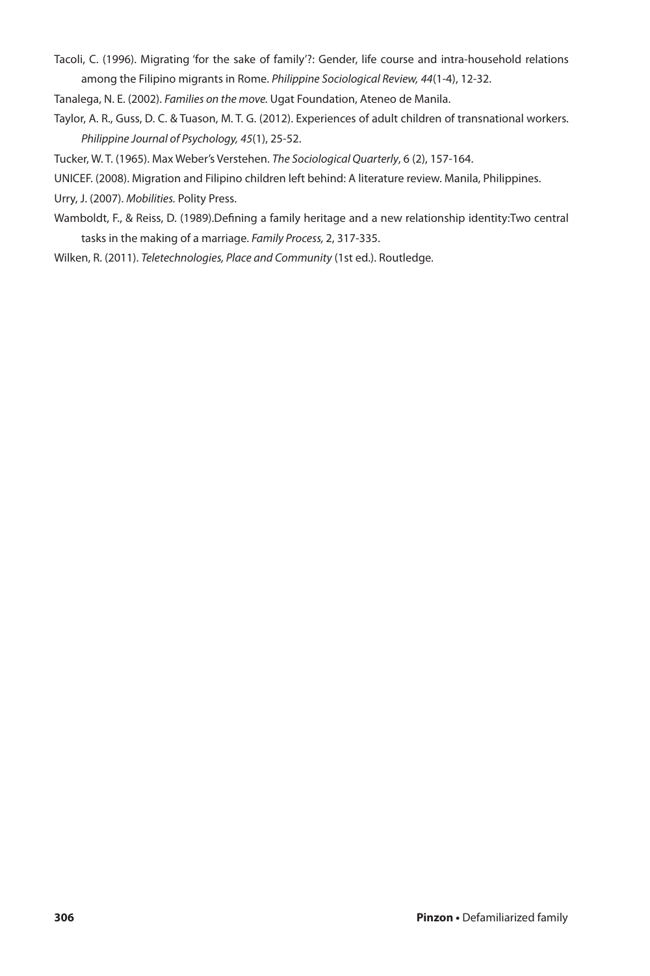- Tacoli, C. (1996). Migrating 'for the sake of family'?: Gender, life course and intra-household relations
- among the Filipino migrants in Rome. *Philippine Sociological Review, 44*(1-4), 12-32.
- Tanalega, N. E. (2002). *Families on the move.* Ugat Foundation, Ateneo de Manila.
- Taylor, A. R., Guss, D. C. & Tuason, M. T. G. (2012). Experiences of adult children of transnational workers. *Philippine Journal of Psychology, 45*(1), 25-52.
- Tucker, W. T. (1965). Max Weber's Verstehen. *The Sociological Quarterly*, 6 (2), 157-164.
- UNICEF. (2008). Migration and Filipino children left behind: A literature review. Manila, Philippines.
- Urry, J. (2007). *Mobilities.* Polity Press.
- Wamboldt, F., & Reiss, D. (1989).Defining a family heritage and a new relationship identity:Two central tasks in the making of a marriage. *Family Process,* 2, 317-335.
- Wilken, R. (2011). *Teletechnologies, Place and Community* (1st ed.). Routledge.